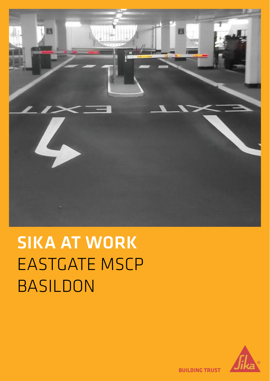

# SIKA AT WORK EASTGATE MSCP BASILDON



**BUILDING TRUST**